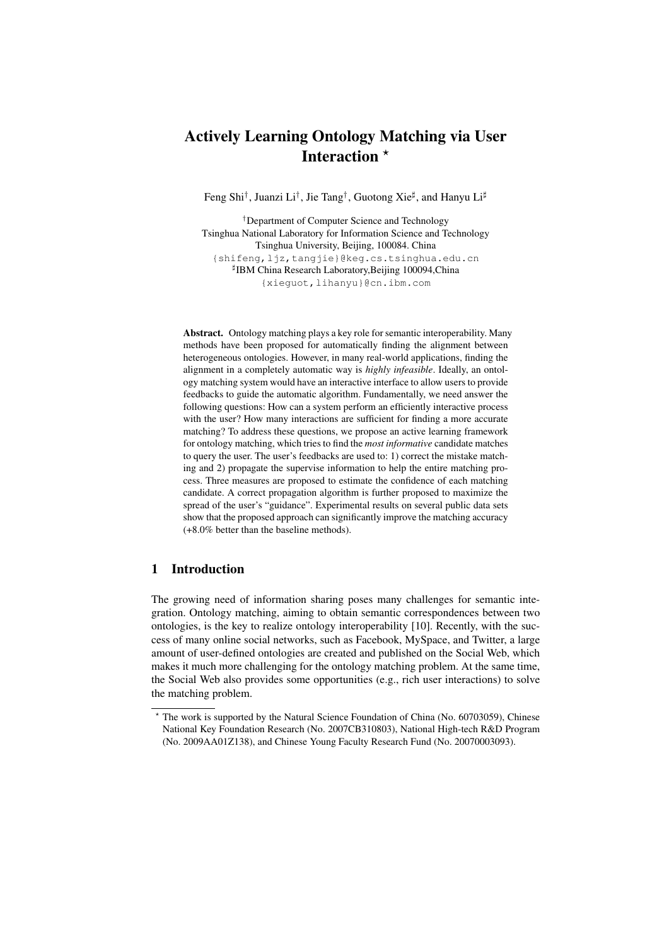# Actively Learning Ontology Matching via User Interaction *<sup>⋆</sup>*

Feng Shi*†* , Juanzi Li*†* , Jie Tang*†* , Guotong Xie*<sup>♯</sup>* , and Hanyu Li*<sup>♯</sup>*

*†*Department of Computer Science and Technology Tsinghua National Laboratory for Information Science and Technology Tsinghua University, Beijing, 100084. China {shifeng,ljz,tangjie}@keg.cs.tsinghua.edu.cn *♯* IBM China Research Laboratory,Beijing 100094,China {xieguot,lihanyu}@cn.ibm.com

Abstract. Ontology matching plays a key role for semantic interoperability. Many methods have been proposed for automatically finding the alignment between heterogeneous ontologies. However, in many real-world applications, finding the alignment in a completely automatic way is *highly infeasible*. Ideally, an ontology matching system would have an interactive interface to allow users to provide feedbacks to guide the automatic algorithm. Fundamentally, we need answer the following questions: How can a system perform an efficiently interactive process with the user? How many interactions are sufficient for finding a more accurate matching? To address these questions, we propose an active learning framework for ontology matching, which tries to find the *most informative* candidate matches to query the user. The user's feedbacks are used to: 1) correct the mistake matching and 2) propagate the supervise information to help the entire matching process. Three measures are proposed to estimate the confidence of each matching candidate. A correct propagation algorithm is further proposed to maximize the spread of the user's "guidance". Experimental results on several public data sets show that the proposed approach can significantly improve the matching accuracy (+8.0% better than the baseline methods).

# 1 Introduction

The growing need of information sharing poses many challenges for semantic integration. Ontology matching, aiming to obtain semantic correspondences between two ontologies, is the key to realize ontology interoperability [10]. Recently, with the success of many online social networks, such as Facebook, MySpace, and Twitter, a large amount of user-defined ontologies are created and published on the Social Web, which makes it much more challenging for the ontology matching problem. At the same time, the Social Web also provides some opportunities (e.g., rich user interactions) to solve the matching problem.

*<sup>⋆</sup>* The work is supported by the Natural Science Foundation of China (No. 60703059), Chinese National Key Foundation Research (No. 2007CB310803), National High-tech R&D Program (No. 2009AA01Z138), and Chinese Young Faculty Research Fund (No. 20070003093).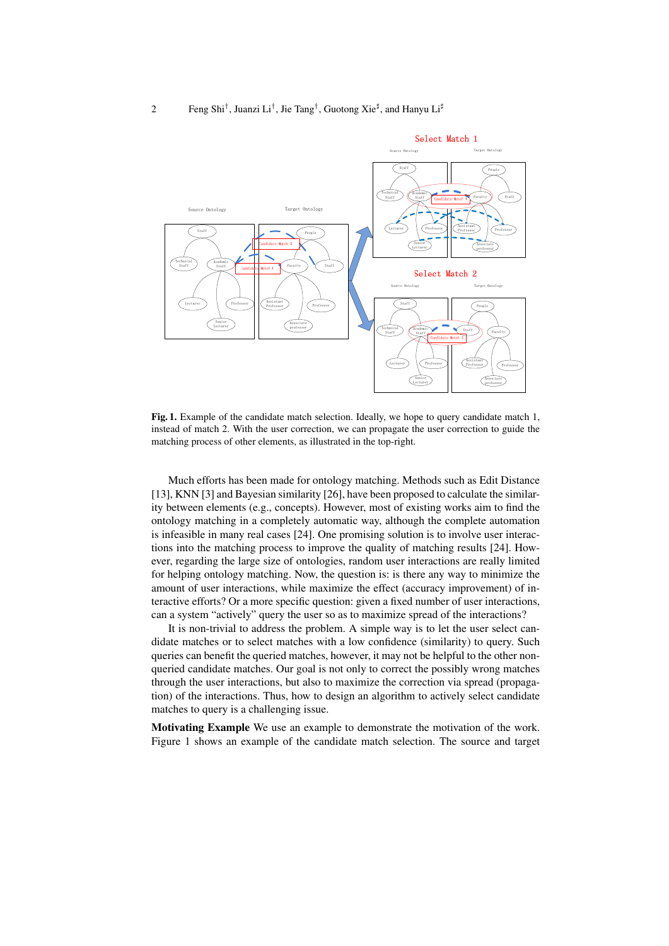

Fig. 1. Example of the candidate match selection. Ideally, we hope to query candidate match 1, instead of match 2. With the user correction, we can propagate the user correction to guide the matching process of other elements, as illustrated in the top-right.

Much efforts has been made for ontology matching. Methods such as Edit Distance [13], KNN [3] and Bayesian similarity [26], have been proposed to calculate the similarity between elements (e.g., concepts). However, most of existing works aim to find the ontology matching in a completely automatic way, although the complete automation is infeasible in many real cases [24]. One promising solution is to involve user interactions into the matching process to improve the quality of matching results [24]. However, regarding the large size of ontologies, random user interactions are really limited for helping ontology matching. Now, the question is: is there any way to minimize the amount of user interactions, while maximize the effect (accuracy improvement) of interactive efforts? Or a more specific question: given a fixed number of user interactions, can a system "actively" query the user so as to maximize spread of the interactions?

It is non-trivial to address the problem. A simple way is to let the user select candidate matches or to select matches with a low confidence (similarity) to query. Such queries can benefit the queried matches, however, it may not be helpful to the other nonqueried candidate matches. Our goal is not only to correct the possibly wrong matches through the user interactions, but also to maximize the correction via spread (propagation) of the interactions. Thus, how to design an algorithm to actively select candidate matches to query is a challenging issue.

Motivating Example We use an example to demonstrate the motivation of the work. Figure 1 shows an example of the candidate match selection. The source and target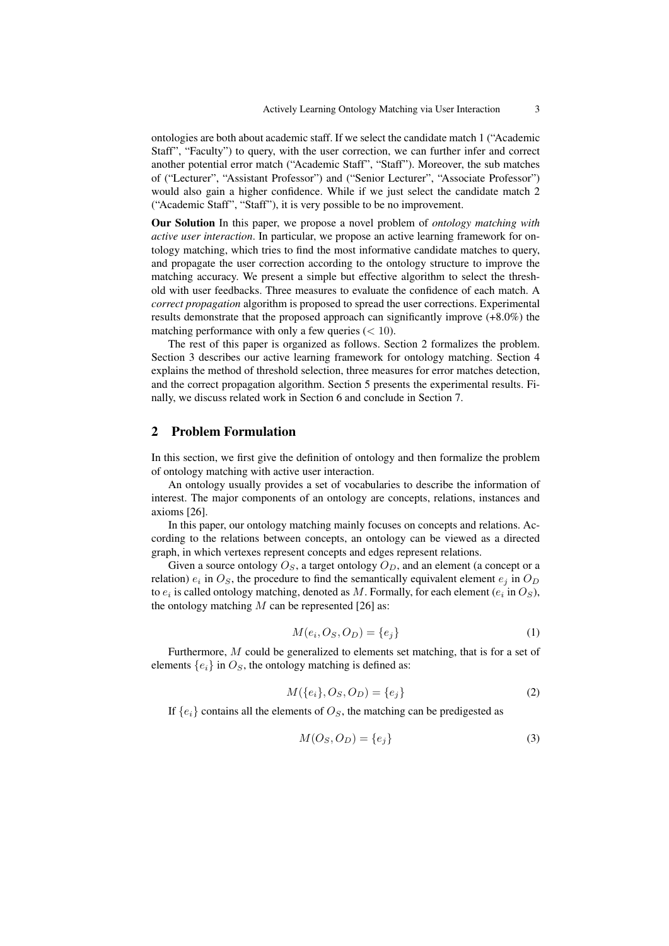ontologies are both about academic staff. If we select the candidate match 1 ("Academic Staff", "Faculty") to query, with the user correction, we can further infer and correct another potential error match ("Academic Staff", "Staff"). Moreover, the sub matches of ("Lecturer", "Assistant Professor") and ("Senior Lecturer", "Associate Professor") would also gain a higher confidence. While if we just select the candidate match 2 ("Academic Staff", "Staff"), it is very possible to be no improvement.

Our Solution In this paper, we propose a novel problem of *ontology matching with active user interaction*. In particular, we propose an active learning framework for ontology matching, which tries to find the most informative candidate matches to query, and propagate the user correction according to the ontology structure to improve the matching accuracy. We present a simple but effective algorithm to select the threshold with user feedbacks. Three measures to evaluate the confidence of each match. A *correct propagation* algorithm is proposed to spread the user corrections. Experimental results demonstrate that the proposed approach can significantly improve (+8.0%) the matching performance with only a few queries (*<* 10).

The rest of this paper is organized as follows. Section 2 formalizes the problem. Section 3 describes our active learning framework for ontology matching. Section 4 explains the method of threshold selection, three measures for error matches detection, and the correct propagation algorithm. Section 5 presents the experimental results. Finally, we discuss related work in Section 6 and conclude in Section 7.

## 2 Problem Formulation

In this section, we first give the definition of ontology and then formalize the problem of ontology matching with active user interaction.

An ontology usually provides a set of vocabularies to describe the information of interest. The major components of an ontology are concepts, relations, instances and axioms [26].

In this paper, our ontology matching mainly focuses on concepts and relations. According to the relations between concepts, an ontology can be viewed as a directed graph, in which vertexes represent concepts and edges represent relations.

Given a source ontology  $O_S$ , a target ontology  $O_D$ , and an element (a concept or a relation)  $e_i$  in  $O_S$ , the procedure to find the semantically equivalent element  $e_j$  in  $O_D$ to  $e_i$  is called ontology matching, denoted as  $M$ . Formally, for each element  $(e_i \text{ in } O_S)$ , the ontology matching  $M$  can be represented [26] as:

$$
M(e_i, O_S, O_D) = \{e_j\}
$$
\n<sup>(1)</sup>

Furthermore, *M* could be generalized to elements set matching, that is for a set of elements  $\{e_i\}$  in  $O_S$ , the ontology matching is defined as:

$$
M(\{e_i\}, O_S, O_D) = \{e_j\}
$$
 (2)

If  ${e_i}$  contains all the elements of  $O_s$ , the matching can be predigested as

$$
M(O_S, O_D) = \{e_j\}
$$
\n<sup>(3)</sup>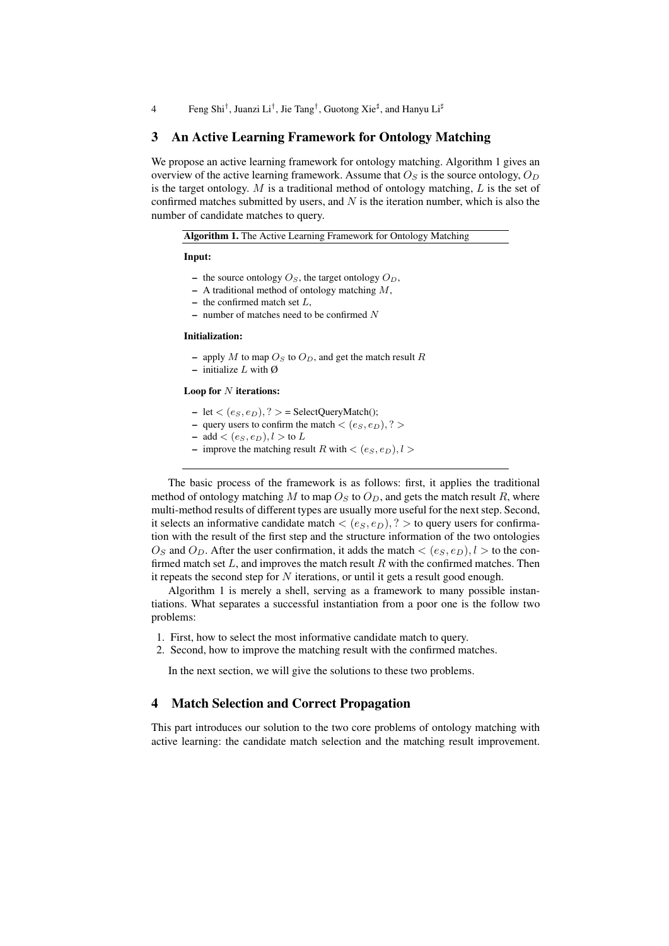# 3 An Active Learning Framework for Ontology Matching

We propose an active learning framework for ontology matching. Algorithm 1 gives an overview of the active learning framework. Assume that  $O<sub>S</sub>$  is the source ontology,  $O<sub>D</sub>$ is the target ontology. *M* is a traditional method of ontology matching, *L* is the set of confirmed matches submitted by users, and *N* is the iteration number, which is also the number of candidate matches to query.

|  |  |  |  | Algorithm 1. The Active Learning Framework for Ontology Matching |
|--|--|--|--|------------------------------------------------------------------|
|--|--|--|--|------------------------------------------------------------------|

#### Input:

- the source ontology  $O<sub>S</sub>$ , the target ontology  $O<sub>D</sub>$ ,
- A traditional method of ontology matching *M*,
- the confirmed match set *L*,
- number of matches need to be confirmed *N*

#### Initialization:

- $-$  apply *M* to map  $O<sub>S</sub>$  to  $O<sub>D</sub>$ , and get the match result *R*
- initialize *L* with Ø

#### Loop for *N* iterations:

- $-$  let  $\langle$  (*e<sub>S</sub>*, *e<sub>D</sub>*), ?  $>$  = SelectQueryMatch();
- $-$  query users to confirm the match  $\langle (e_S, e_D), ? \rangle$
- $-$  add  $\lt$   $(e_S, e_D), l >$  to  $L$
- $-$  improve the matching result *R* with  $\langle (e_S, e_D), l \rangle$

The basic process of the framework is as follows: first, it applies the traditional method of ontology matching  $M$  to map  $O_S$  to  $O_D$ , and gets the match result  $R$ , where multi-method results of different types are usually more useful for the next step. Second, it selects an informative candidate match  $\langle (e_S, e_D), ? \rangle$  to query users for confirmation with the result of the first step and the structure information of the two ontologies  $O<sub>S</sub>$  and  $O<sub>D</sub>$ . After the user confirmation, it adds the match  $\langle (e<sub>S</sub>, e<sub>D</sub>)$ ,  $l >$  to the confirmed match set *L*, and improves the match result *R* with the confirmed matches. Then it repeats the second step for  $N$  iterations, or until it gets a result good enough.

Algorithm 1 is merely a shell, serving as a framework to many possible instantiations. What separates a successful instantiation from a poor one is the follow two problems:

- 1. First, how to select the most informative candidate match to query.
- 2. Second, how to improve the matching result with the confirmed matches.

In the next section, we will give the solutions to these two problems.

# 4 Match Selection and Correct Propagation

This part introduces our solution to the two core problems of ontology matching with active learning: the candidate match selection and the matching result improvement.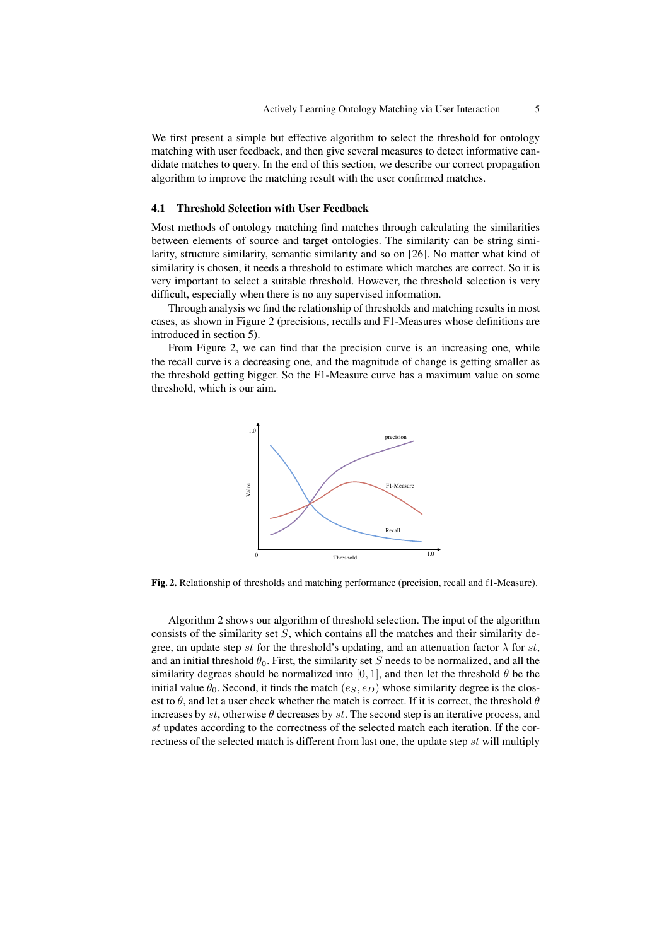We first present a simple but effective algorithm to select the threshold for ontology matching with user feedback, and then give several measures to detect informative candidate matches to query. In the end of this section, we describe our correct propagation algorithm to improve the matching result with the user confirmed matches.

#### 4.1 Threshold Selection with User Feedback

Most methods of ontology matching find matches through calculating the similarities between elements of source and target ontologies. The similarity can be string similarity, structure similarity, semantic similarity and so on [26]. No matter what kind of similarity is chosen, it needs a threshold to estimate which matches are correct. So it is very important to select a suitable threshold. However, the threshold selection is very difficult, especially when there is no any supervised information.

Through analysis we find the relationship of thresholds and matching results in most cases, as shown in Figure 2 (precisions, recalls and F1-Measures whose definitions are introduced in section 5).

From Figure 2, we can find that the precision curve is an increasing one, while the recall curve is a decreasing one, and the magnitude of change is getting smaller as the threshold getting bigger. So the F1-Measure curve has a maximum value on some threshold, which is our aim.



Fig. 2. Relationship of thresholds and matching performance (precision, recall and f1-Measure).

Algorithm 2 shows our algorithm of threshold selection. The input of the algorithm consists of the similarity set *S*, which contains all the matches and their similarity degree, an update step *st* for the threshold's updating, and an attenuation factor  $\lambda$  for *st*, and an initial threshold  $\theta_0$ . First, the similarity set *S* needs to be normalized, and all the similarity degrees should be normalized into [0, 1], and then let the threshold  $\theta$  be the initial value  $\theta_0$ . Second, it finds the match  $(e_S, e_D)$  whose similarity degree is the closest to *θ*, and let a user check whether the match is correct. If it is correct, the threshold *θ* increases by  $st$ , otherwise  $\theta$  decreases by  $st$ . The second step is an iterative process, and *st* updates according to the correctness of the selected match each iteration. If the correctness of the selected match is different from last one, the update step *st* will multiply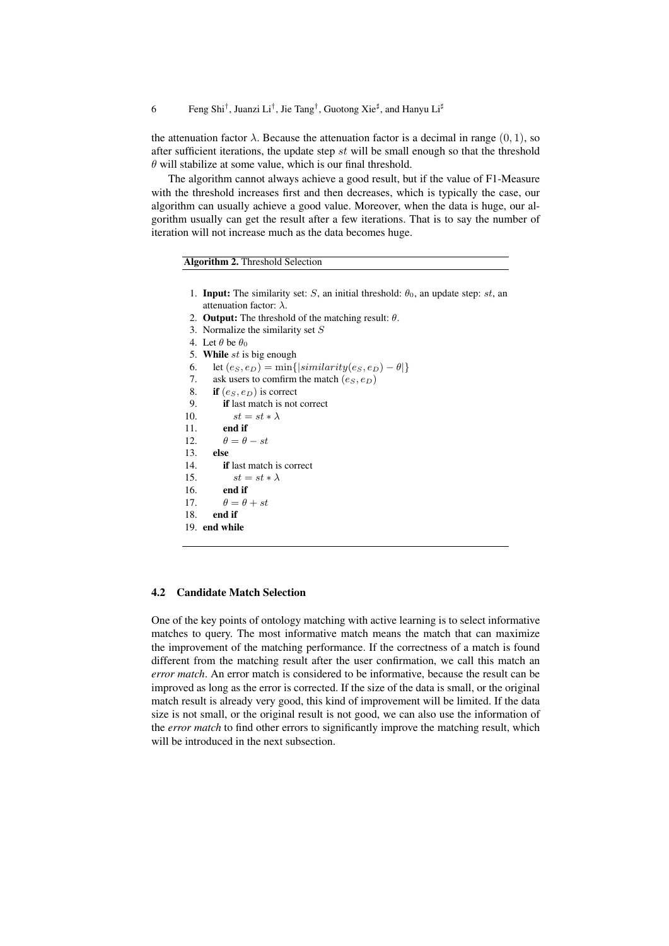the attenuation factor  $\lambda$ . Because the attenuation factor is a decimal in range  $(0, 1)$ , so after sufficient iterations, the update step *st* will be small enough so that the threshold *θ* will stabilize at some value, which is our final threshold.

The algorithm cannot always achieve a good result, but if the value of F1-Measure with the threshold increases first and then decreases, which is typically the case, our algorithm can usually achieve a good value. Moreover, when the data is huge, our algorithm usually can get the result after a few iterations. That is to say the number of iteration will not increase much as the data becomes huge.

1. **Input:** The similarity set: *S*, an initial threshold:  $\theta_0$ , an update step: *st*, an attenuation factor: *λ*. 2. Output: The threshold of the matching result: *θ*. 3. Normalize the similarity set *S* 4. Let  $\theta$  be  $\theta_0$ 5. While *st* is big enough 6. let  $(e_S, e_D) = \min\{|sim| (e_S, e_D) - \theta|\}$ 7. ask users to comfirm the match  $(e_S, e_D)$ 8. if  $(e_S, e_D)$  is correct 9. if last match is not correct 10.  $st = st * \lambda$ 11. end if 12.  $\theta = \theta - st$ 13. else 14. if last match is correct 15.  $st = st * \lambda$ 16. end if 17.  $\theta = \theta + st$ 18. end if 19. end while

# 4.2 Candidate Match Selection

One of the key points of ontology matching with active learning is to select informative matches to query. The most informative match means the match that can maximize the improvement of the matching performance. If the correctness of a match is found different from the matching result after the user confirmation, we call this match an *error match*. An error match is considered to be informative, because the result can be improved as long as the error is corrected. If the size of the data is small, or the original match result is already very good, this kind of improvement will be limited. If the data size is not small, or the original result is not good, we can also use the information of the *error match* to find other errors to significantly improve the matching result, which will be introduced in the next subsection.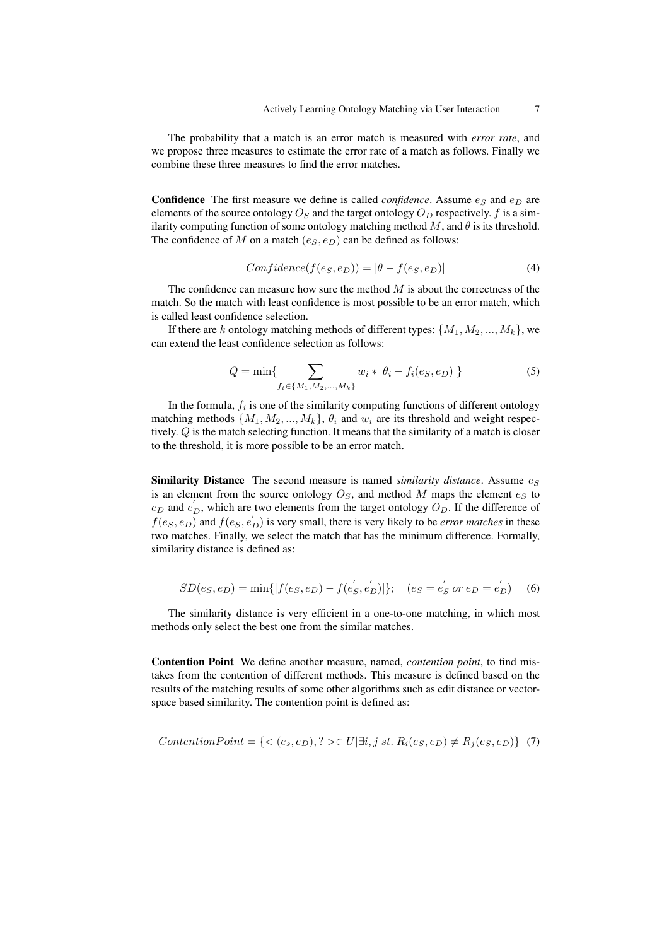The probability that a match is an error match is measured with *error rate*, and we propose three measures to estimate the error rate of a match as follows. Finally we combine these three measures to find the error matches.

Confidence The first measure we define is called *confidence*. Assume *e<sup>S</sup>* and *e<sup>D</sup>* are elements of the source ontology  $O<sub>S</sub>$  and the target ontology  $O<sub>D</sub>$  respectively. *f* is a similarity computing function of some ontology matching method  $M$ , and  $\theta$  is its threshold. The confidence of *M* on a match  $(e_S, e_D)$  can be defined as follows:

$$
Confidence(f(e_S, e_D)) = |\theta - f(e_S, e_D)| \tag{4}
$$

The confidence can measure how sure the method *M* is about the correctness of the match. So the match with least confidence is most possible to be an error match, which is called least confidence selection.

If there are *k* ontology matching methods of different types:  $\{M_1, M_2, ..., M_k\}$ , we can extend the least confidence selection as follows:

$$
Q = \min\{\sum_{f_i \in \{M_1, M_2, \dots, M_k\}} w_i * |\theta_i - f_i(e_S, e_D)|\}
$$
(5)

In the formula,  $f_i$  is one of the similarity computing functions of different ontology matching methods  $\{M_1, M_2, ..., M_k\}$ ,  $\theta_i$  and  $w_i$  are its threshold and weight respectively. *Q* is the match selecting function. It means that the similarity of a match is closer to the threshold, it is more possible to be an error match.

Similarity Distance The second measure is named *similarity distance*. Assume *e<sup>S</sup>* is an element from the source ontology  $O<sub>S</sub>$ , and method M maps the element  $e<sub>S</sub>$  to  $e_D$  and  $e'_D$ , which are two elements from the target ontology  $O_D$ . If the difference of  $f(e_S, e_D)$  and  $f(e_S, e'_D)$  is very small, there is very likely to be *error matches* in these two matches. Finally, we select the match that has the minimum difference. Formally, similarity distance is defined as:

$$
SD(e_S, e_D) = \min\{|f(e_S, e_D) - f(e_S', e_D')|\}; \quad (e_S = e_S' \text{ or } e_D = e_D') \tag{6}
$$

The similarity distance is very efficient in a one-to-one matching, in which most methods only select the best one from the similar matches.

Contention Point We define another measure, named, *contention point*, to find mistakes from the contention of different methods. This measure is defined based on the results of the matching results of some other algorithms such as edit distance or vectorspace based similarity. The contention point is defined as:

$$
ContentionPoint = \{ \langle e_s, e_D \rangle, ? \rangle \in U | \exists i, j \text{ st. } R_i(e_S, e_D) \neq R_j(e_S, e_D) \} \tag{7}
$$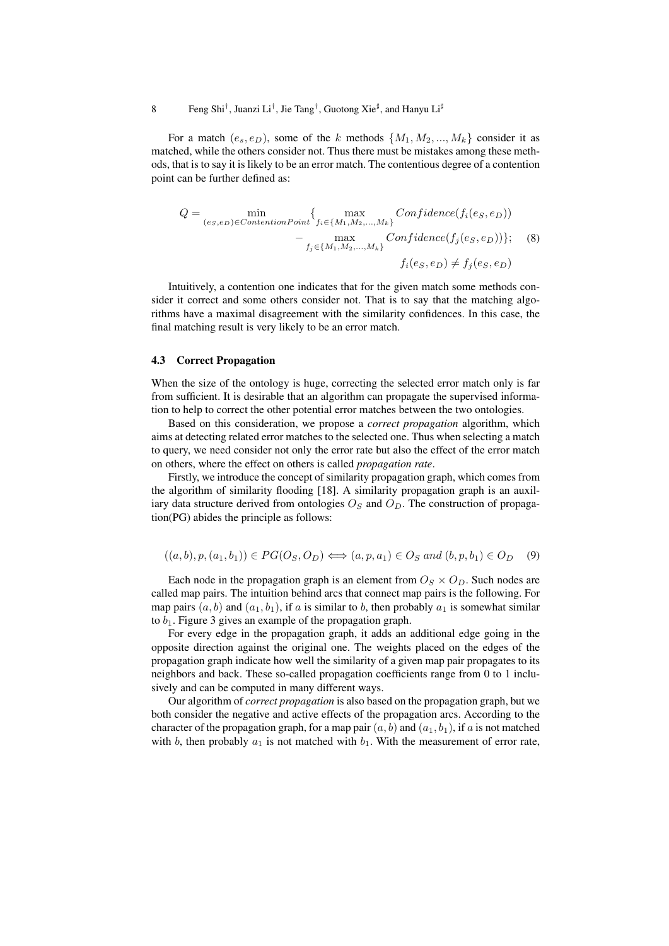For a match  $(e_s, e_D)$ , some of the *k* methods  $\{M_1, M_2, ..., M_k\}$  consider it as matched, while the others consider not. Thus there must be mistakes among these methods, that is to say it is likely to be an error match. The contentious degree of a contention point can be further defined as:

$$
Q = \min_{(e_S, e_D) \in \text{ContentionPoint}} \{ \max_{f_i \in \{M_1, M_2, \dots, M_k\}} \text{Confidence}(f_i(e_S, e_D)) - \max_{f_j \in \{M_1, M_2, \dots, M_k\}} \text{Confidence}(f_j(e_S, e_D)) \};
$$
(8)  

$$
f_i(e_S, e_D) \neq f_j(e_S, e_D)
$$

Intuitively, a contention one indicates that for the given match some methods consider it correct and some others consider not. That is to say that the matching algorithms have a maximal disagreement with the similarity confidences. In this case, the final matching result is very likely to be an error match.

#### 4.3 Correct Propagation

When the size of the ontology is huge, correcting the selected error match only is far from sufficient. It is desirable that an algorithm can propagate the supervised information to help to correct the other potential error matches between the two ontologies.

Based on this consideration, we propose a *correct propagation* algorithm, which aims at detecting related error matches to the selected one. Thus when selecting a match to query, we need consider not only the error rate but also the effect of the error match on others, where the effect on others is called *propagation rate*.

Firstly, we introduce the concept of similarity propagation graph, which comes from the algorithm of similarity flooding [18]. A similarity propagation graph is an auxiliary data structure derived from ontologies  $O<sub>S</sub>$  and  $O<sub>D</sub>$ . The construction of propagation(PG) abides the principle as follows:

$$
((a,b),p,(a_1,b_1)) \in PG(O_S,O_D) \Longleftrightarrow (a,p,a_1) \in O_S \text{ and } (b,p,b_1) \in O_D \quad (9)
$$

Each node in the propagation graph is an element from  $O_S \times O_D$ . Such nodes are called map pairs. The intuition behind arcs that connect map pairs is the following. For map pairs  $(a, b)$  and  $(a_1, b_1)$ , if *a* is similar to *b*, then probably  $a_1$  is somewhat similar to *b*1. Figure 3 gives an example of the propagation graph.

For every edge in the propagation graph, it adds an additional edge going in the opposite direction against the original one. The weights placed on the edges of the propagation graph indicate how well the similarity of a given map pair propagates to its neighbors and back. These so-called propagation coefficients range from 0 to 1 inclusively and can be computed in many different ways.

Our algorithm of *correct propagation* is also based on the propagation graph, but we both consider the negative and active effects of the propagation arcs. According to the character of the propagation graph, for a map pair  $(a, b)$  and  $(a_1, b_1)$ , if a is not matched with  $b$ , then probably  $a_1$  is not matched with  $b_1$ . With the measurement of error rate,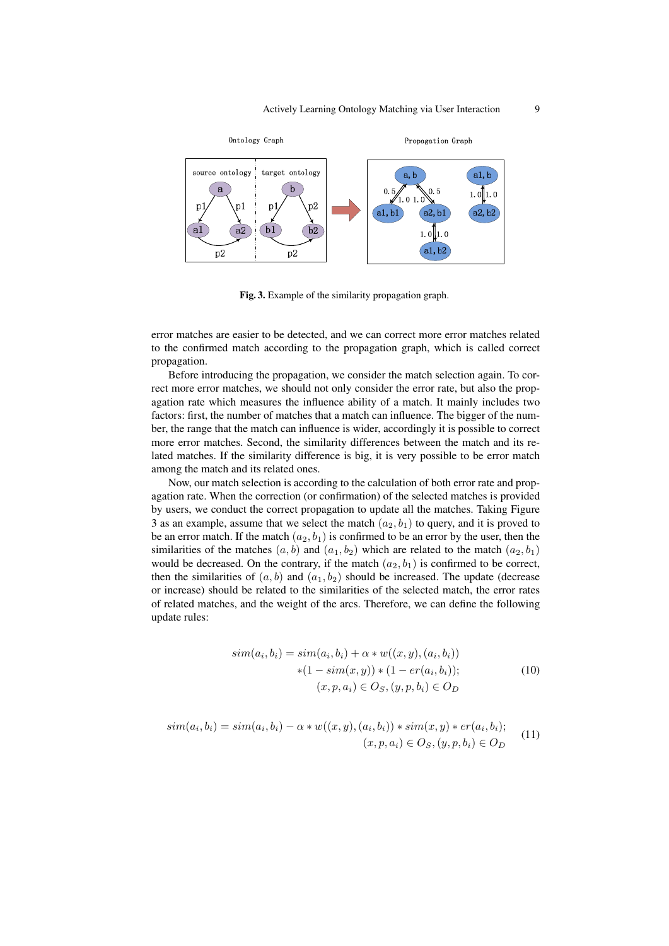

Fig. 3. Example of the similarity propagation graph.

error matches are easier to be detected, and we can correct more error matches related to the confirmed match according to the propagation graph, which is called correct propagation.

Before introducing the propagation, we consider the match selection again. To correct more error matches, we should not only consider the error rate, but also the propagation rate which measures the influence ability of a match. It mainly includes two factors: first, the number of matches that a match can influence. The bigger of the number, the range that the match can influence is wider, accordingly it is possible to correct more error matches. Second, the similarity differences between the match and its related matches. If the similarity difference is big, it is very possible to be error match among the match and its related ones.

Now, our match selection is according to the calculation of both error rate and propagation rate. When the correction (or confirmation) of the selected matches is provided by users, we conduct the correct propagation to update all the matches. Taking Figure 3 as an example, assume that we select the match  $(a_2, b_1)$  to query, and it is proved to be an error match. If the match  $(a_2, b_1)$  is confirmed to be an error by the user, then the similarities of the matches  $(a, b)$  and  $(a_1, b_2)$  which are related to the match  $(a_2, b_1)$ would be decreased. On the contrary, if the match  $(a_2, b_1)$  is confirmed to be correct, then the similarities of  $(a, b)$  and  $(a_1, b_2)$  should be increased. The update (decrease or increase) should be related to the similarities of the selected match, the error rates of related matches, and the weight of the arcs. Therefore, we can define the following update rules:

$$
sim(a_i, b_i) = sim(a_i, b_i) + \alpha * w((x, y), (a_i, b_i))
$$
  
\*(1 - sim(x, y)) \* (1 - er(a\_i, b\_i));  

$$
(x, p, a_i) \in O_S, (y, p, b_i) \in O_D
$$
 (10)

$$
sim(a_i, b_i) = sim(a_i, b_i) - \alpha * w((x, y), (a_i, b_i)) * sim(x, y) * er(a_i, b_i);
$$
  

$$
(x, p, a_i) \in O_S, (y, p, b_i) \in O_D
$$
 (11)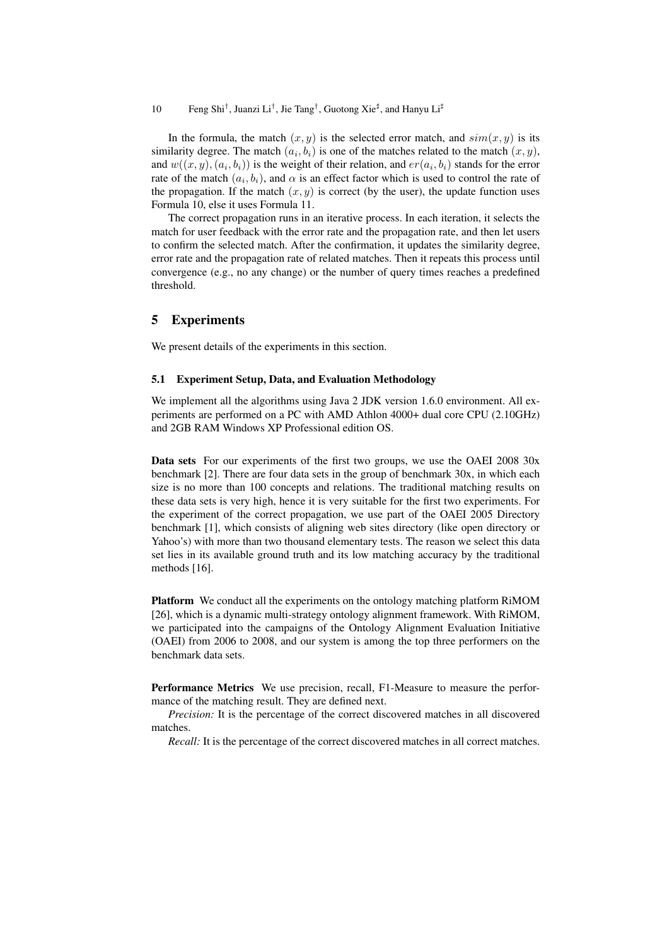In the formula, the match  $(x, y)$  is the selected error match, and  $sim(x, y)$  is its similarity degree. The match  $(a_i, b_i)$  is one of the matches related to the match  $(x, y)$ , and  $w((x, y), (a_i, b_i))$  is the weight of their relation, and  $er(a_i, b_i)$  stands for the error rate of the match  $(a_i, b_i)$ , and  $\alpha$  is an effect factor which is used to control the rate of the propagation. If the match  $(x, y)$  is correct (by the user), the update function uses Formula 10, else it uses Formula 11.

The correct propagation runs in an iterative process. In each iteration, it selects the match for user feedback with the error rate and the propagation rate, and then let users to confirm the selected match. After the confirmation, it updates the similarity degree, error rate and the propagation rate of related matches. Then it repeats this process until convergence (e.g., no any change) or the number of query times reaches a predefined threshold.

# 5 Experiments

We present details of the experiments in this section.

## 5.1 Experiment Setup, Data, and Evaluation Methodology

We implement all the algorithms using Java 2 JDK version 1.6.0 environment. All experiments are performed on a PC with AMD Athlon 4000+ dual core CPU (2.10GHz) and 2GB RAM Windows XP Professional edition OS.

Data sets For our experiments of the first two groups, we use the OAEI 2008 30x benchmark [2]. There are four data sets in the group of benchmark 30x, in which each size is no more than 100 concepts and relations. The traditional matching results on these data sets is very high, hence it is very suitable for the first two experiments. For the experiment of the correct propagation, we use part of the OAEI 2005 Directory benchmark [1], which consists of aligning web sites directory (like open directory or Yahoo's) with more than two thousand elementary tests. The reason we select this data set lies in its available ground truth and its low matching accuracy by the traditional methods [16].

Platform We conduct all the experiments on the ontology matching platform RiMOM [26], which is a dynamic multi-strategy ontology alignment framework. With RiMOM, we participated into the campaigns of the Ontology Alignment Evaluation Initiative (OAEI) from 2006 to 2008, and our system is among the top three performers on the benchmark data sets.

Performance Metrics We use precision, recall, F1-Measure to measure the performance of the matching result. They are defined next.

*Precision:* It is the percentage of the correct discovered matches in all discovered matches.

*Recall:* It is the percentage of the correct discovered matches in all correct matches.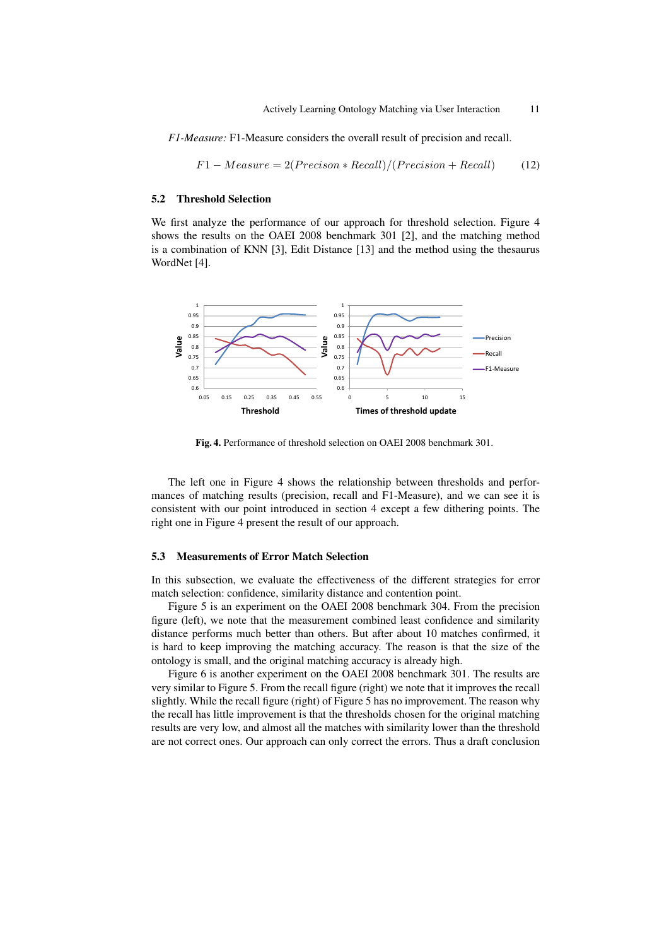*F1-Measure:* F1-Measure considers the overall result of precision and recall.

$$
F1-Measure = 2(Precison * Recall)/(Precision + Recall)
$$
 (12)

#### 5.2 Threshold Selection

We first analyze the performance of our approach for threshold selection. Figure 4 shows the results on the OAEI 2008 benchmark 301 [2], and the matching method is a combination of KNN [3], Edit Distance [13] and the method using the thesaurus WordNet [4].



Fig. 4. Performance of threshold selection on OAEI 2008 benchmark 301.

The left one in Figure 4 shows the relationship between thresholds and performances of matching results (precision, recall and F1-Measure), and we can see it is consistent with our point introduced in section 4 except a few dithering points. The right one in Figure 4 present the result of our approach.

#### 5.3 Measurements of Error Match Selection

In this subsection, we evaluate the effectiveness of the different strategies for error match selection: confidence, similarity distance and contention point.

Figure 5 is an experiment on the OAEI 2008 benchmark 304. From the precision figure (left), we note that the measurement combined least confidence and similarity distance performs much better than others. But after about 10 matches confirmed, it is hard to keep improving the matching accuracy. The reason is that the size of the ontology is small, and the original matching accuracy is already high.

Figure 6 is another experiment on the OAEI 2008 benchmark 301. The results are very similar to Figure 5. From the recall figure (right) we note that it improves the recall slightly. While the recall figure (right) of Figure 5 has no improvement. The reason why the recall has little improvement is that the thresholds chosen for the original matching results are very low, and almost all the matches with similarity lower than the threshold are not correct ones. Our approach can only correct the errors. Thus a draft conclusion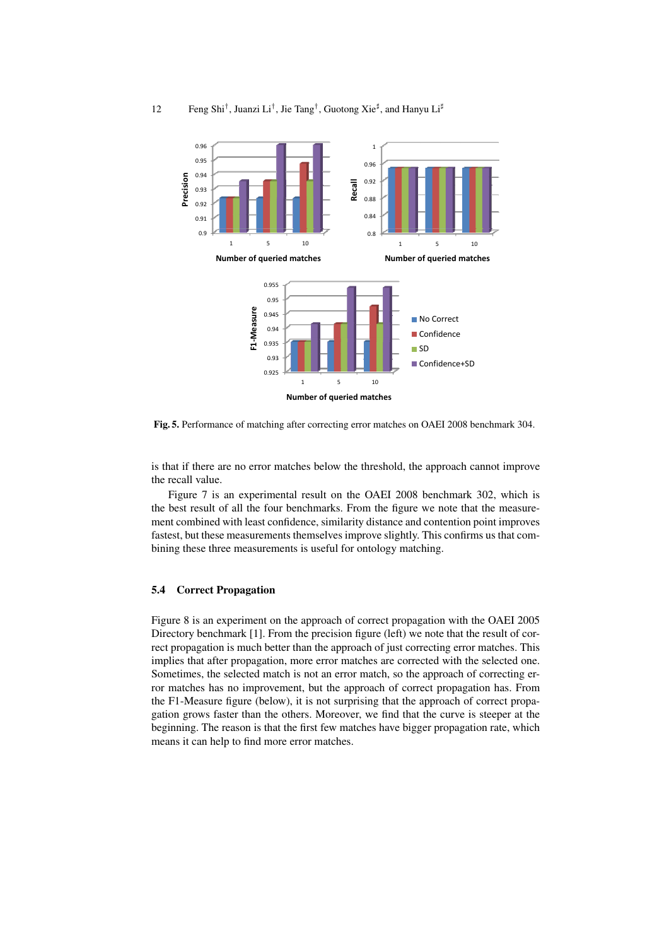

Fig. 5. Performance of matching after correcting error matches on OAEI 2008 benchmark 304.

is that if there are no error matches below the threshold, the approach cannot improve the recall value.

Figure 7 is an experimental result on the OAEI 2008 benchmark 302, which is the best result of all the four benchmarks. From the figure we note that the measurement combined with least confidence, similarity distance and contention point improves fastest, but these measurements themselves improve slightly. This confirms us that combining these three measurements is useful for ontology matching.

#### 5.4 Correct Propagation

Figure 8 is an experiment on the approach of correct propagation with the OAEI 2005 Directory benchmark [1]. From the precision figure (left) we note that the result of correct propagation is much better than the approach of just correcting error matches. This implies that after propagation, more error matches are corrected with the selected one. Sometimes, the selected match is not an error match, so the approach of correcting error matches has no improvement, but the approach of correct propagation has. From the F1-Measure figure (below), it is not surprising that the approach of correct propagation grows faster than the others. Moreover, we find that the curve is steeper at the beginning. The reason is that the first few matches have bigger propagation rate, which means it can help to find more error matches.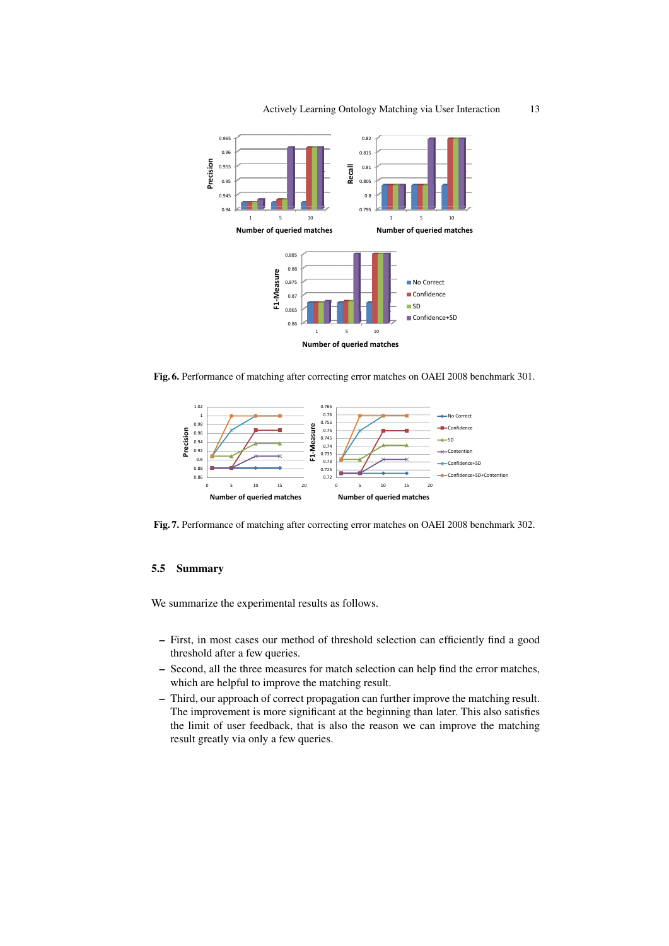

Fig. 6. Performance of matching after correcting error matches on OAEI 2008 benchmark 301.



Fig. 7. Performance of matching after correcting error matches on OAEI 2008 benchmark 302.

## 5.5 Summary

We summarize the experimental results as follows.

- First, in most cases our method of threshold selection can efficiently find a good threshold after a few queries.
- Second, all the three measures for match selection can help find the error matches, which are helpful to improve the matching result.
- Third, our approach of correct propagation can further improve the matching result. The improvement is more significant at the beginning than later. This also satisfies the limit of user feedback, that is also the reason we can improve the matching result greatly via only a few queries.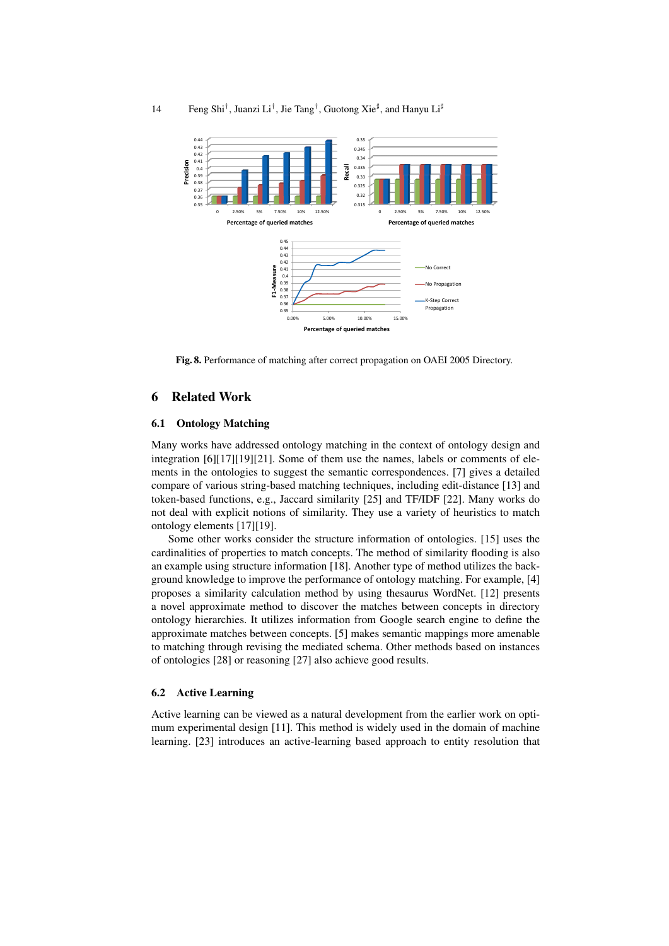

Fig. 8. Performance of matching after correct propagation on OAEI 2005 Directory.

# 6 Related Work

# 6.1 Ontology Matching

Many works have addressed ontology matching in the context of ontology design and integration [6][17][19][21]. Some of them use the names, labels or comments of elements in the ontologies to suggest the semantic correspondences. [7] gives a detailed compare of various string-based matching techniques, including edit-distance [13] and token-based functions, e.g., Jaccard similarity [25] and TF/IDF [22]. Many works do not deal with explicit notions of similarity. They use a variety of heuristics to match ontology elements [17][19].

Some other works consider the structure information of ontologies. [15] uses the cardinalities of properties to match concepts. The method of similarity flooding is also an example using structure information [18]. Another type of method utilizes the background knowledge to improve the performance of ontology matching. For example, [4] proposes a similarity calculation method by using thesaurus WordNet. [12] presents a novel approximate method to discover the matches between concepts in directory ontology hierarchies. It utilizes information from Google search engine to define the approximate matches between concepts. [5] makes semantic mappings more amenable to matching through revising the mediated schema. Other methods based on instances of ontologies [28] or reasoning [27] also achieve good results.

## 6.2 Active Learning

Active learning can be viewed as a natural development from the earlier work on optimum experimental design [11]. This method is widely used in the domain of machine learning. [23] introduces an active-learning based approach to entity resolution that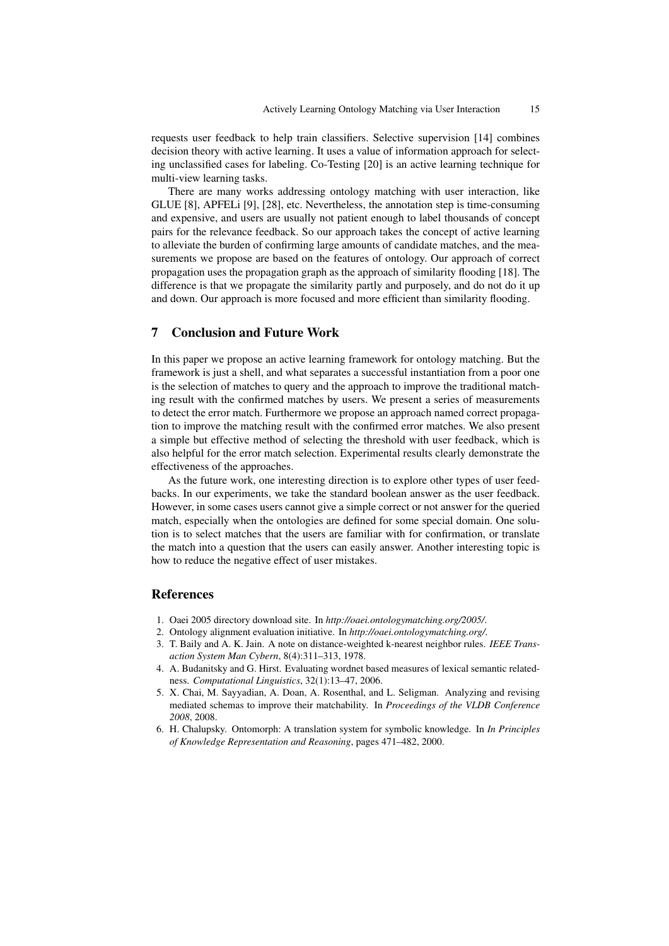requests user feedback to help train classifiers. Selective supervision [14] combines decision theory with active learning. It uses a value of information approach for selecting unclassified cases for labeling. Co-Testing [20] is an active learning technique for multi-view learning tasks.

There are many works addressing ontology matching with user interaction, like GLUE [8], APFELi [9], [28], etc. Nevertheless, the annotation step is time-consuming and expensive, and users are usually not patient enough to label thousands of concept pairs for the relevance feedback. So our approach takes the concept of active learning to alleviate the burden of confirming large amounts of candidate matches, and the measurements we propose are based on the features of ontology. Our approach of correct propagation uses the propagation graph as the approach of similarity flooding [18]. The difference is that we propagate the similarity partly and purposely, and do not do it up and down. Our approach is more focused and more efficient than similarity flooding.

# 7 Conclusion and Future Work

In this paper we propose an active learning framework for ontology matching. But the framework is just a shell, and what separates a successful instantiation from a poor one is the selection of matches to query and the approach to improve the traditional matching result with the confirmed matches by users. We present a series of measurements to detect the error match. Furthermore we propose an approach named correct propagation to improve the matching result with the confirmed error matches. We also present a simple but effective method of selecting the threshold with user feedback, which is also helpful for the error match selection. Experimental results clearly demonstrate the effectiveness of the approaches.

As the future work, one interesting direction is to explore other types of user feedbacks. In our experiments, we take the standard boolean answer as the user feedback. However, in some cases users cannot give a simple correct or not answer for the queried match, especially when the ontologies are defined for some special domain. One solution is to select matches that the users are familiar with for confirmation, or translate the match into a question that the users can easily answer. Another interesting topic is how to reduce the negative effect of user mistakes.

## References

- 1. Oaei 2005 directory download site. In *http://oaei.ontologymatching.org/2005/*.
- 2. Ontology alignment evaluation initiative. In *http://oaei.ontologymatching.org/*.
- 3. T. Baily and A. K. Jain. A note on distance-weighted k-nearest neighbor rules. *IEEE Transaction System Man Cybern*, 8(4):311–313, 1978.
- 4. A. Budanitsky and G. Hirst. Evaluating wordnet based measures of lexical semantic relatedness. *Computational Linguistics*, 32(1):13–47, 2006.
- 5. X. Chai, M. Sayyadian, A. Doan, A. Rosenthal, and L. Seligman. Analyzing and revising mediated schemas to improve their matchability. In *Proceedings of the VLDB Conference 2008*, 2008.
- 6. H. Chalupsky. Ontomorph: A translation system for symbolic knowledge. In *In Principles of Knowledge Representation and Reasoning*, pages 471–482, 2000.